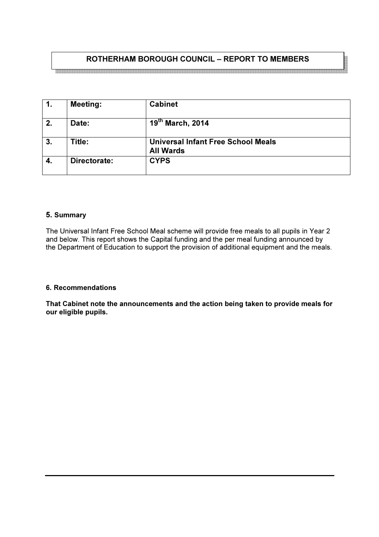# ROTHERHAM BOROUGH COUNCIL – REPORT TO MEMBERS

|    | <b>Meeting:</b> | <b>Cabinet</b>                                                |
|----|-----------------|---------------------------------------------------------------|
| 2. | Date:           | 19th March, 2014                                              |
| 3. | Title:          | <b>Universal Infant Free School Meals</b><br><b>All Wards</b> |
| 4. | Directorate:    | <b>CYPS</b>                                                   |

#### 5. Summary

The Universal Infant Free School Meal scheme will provide free meals to all pupils in Year 2 and below. This report shows the Capital funding and the per meal funding announced by the Department of Education to support the provision of additional equipment and the meals.

#### 6. Recommendations

That Cabinet note the announcements and the action being taken to provide meals for our eligible pupils.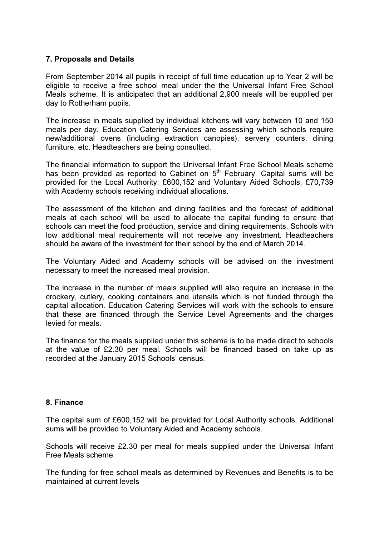## 7. Proposals and Details

From September 2014 all pupils in receipt of full time education up to Year 2 will be eligible to receive a free school meal under the the Universal Infant Free School Meals scheme. It is anticipated that an additional 2,900 meals will be supplied per day to Rotherham pupils.

The increase in meals supplied by individual kitchens will vary between 10 and 150 meals per day. Education Catering Services are assessing which schools require new/additional ovens (including extraction canopies), servery counters, dining furniture, etc. Headteachers are being consulted.

The financial information to support the Universal Infant Free School Meals scheme has been provided as reported to Cabinet on  $5<sup>th</sup>$  February. Capital sums will be provided for the Local Authority, £600,152 and Voluntary Aided Schools, £70,739 with Academy schools receiving individual allocations.

The assessment of the kitchen and dining facilities and the forecast of additional meals at each school will be used to allocate the capital funding to ensure that schools can meet the food production, service and dining requirements. Schools with low additional meal requirements will not receive any investment. Headteachers should be aware of the investment for their school by the end of March 2014.

The Voluntary Aided and Academy schools will be advised on the investment necessary to meet the increased meal provision.

The increase in the number of meals supplied will also require an increase in the crockery, cutlery, cooking containers and utensils which is not funded through the capital allocation. Education Catering Services will work with the schools to ensure that these are financed through the Service Level Agreements and the charges levied for meals.

The finance for the meals supplied under this scheme is to be made direct to schools at the value of £2.30 per meal. Schools will be financed based on take up as recorded at the January 2015 Schools' census.

## 8. Finance

The capital sum of £600,152 will be provided for Local Authority schools. Additional sums will be provided to Voluntary Aided and Academy schools.

Schools will receive £2.30 per meal for meals supplied under the Universal Infant Free Meals scheme.

The funding for free school meals as determined by Revenues and Benefits is to be maintained at current levels